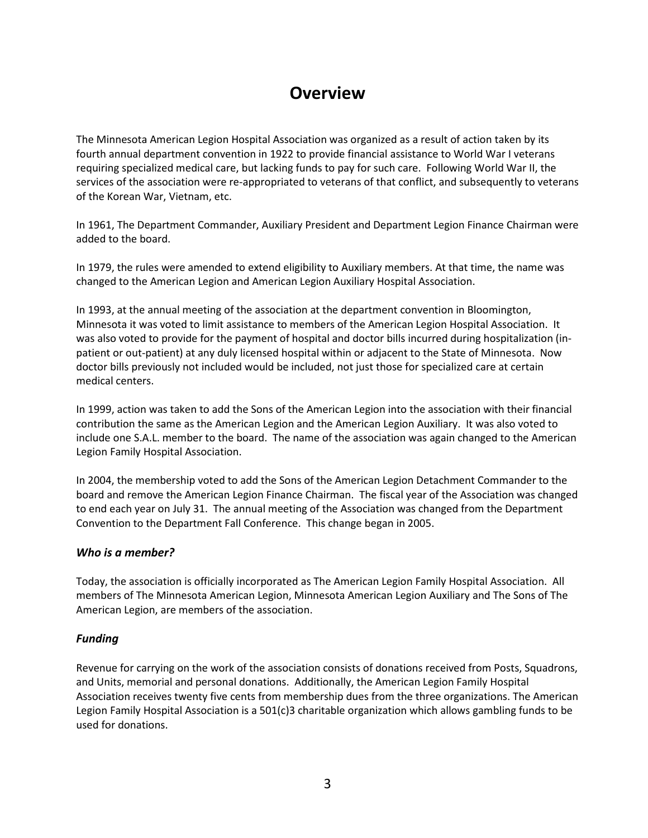# **Overview**

The Minnesota American Legion Hospital Association was organized as a result of action taken by its fourth annual department convention in 1922 to provide financial assistance to World War I veterans requiring specialized medical care, but lacking funds to pay for such care. Following World War II, the services of the association were re-appropriated to veterans of that conflict, and subsequently to veterans of the Korean War, Vietnam, etc.

In 1961, The Department Commander, Auxiliary President and Department Legion Finance Chairman were added to the board.

In 1979, the rules were amended to extend eligibility to Auxiliary members. At that time, the name was changed to the American Legion and American Legion Auxiliary Hospital Association.

In 1993, at the annual meeting of the association at the department convention in Bloomington, Minnesota it was voted to limit assistance to members of the American Legion Hospital Association. It was also voted to provide for the payment of hospital and doctor bills incurred during hospitalization (inpatient or out-patient) at any duly licensed hospital within or adjacent to the State of Minnesota. Now doctor bills previously not included would be included, not just those for specialized care at certain medical centers.

In 1999, action was taken to add the Sons of the American Legion into the association with their financial contribution the same as the American Legion and the American Legion Auxiliary. It was also voted to include one S.A.L. member to the board. The name of the association was again changed to the American Legion Family Hospital Association.

In 2004, the membership voted to add the Sons of the American Legion Detachment Commander to the board and remove the American Legion Finance Chairman. The fiscal year of the Association was changed to end each year on July 31. The annual meeting of the Association was changed from the Department Convention to the Department Fall Conference. This change began in 2005.

#### *Who is a member?*

Today, the association is officially incorporated as The American Legion Family Hospital Association. All members of The Minnesota American Legion, Minnesota American Legion Auxiliary and The Sons of The American Legion, are members of the association.

#### *Funding*

Revenue for carrying on the work of the association consists of donations received from Posts, Squadrons, and Units, memorial and personal donations. Additionally, the American Legion Family Hospital Association receives twenty five cents from membership dues from the three organizations. The American Legion Family Hospital Association is a 501(c)3 charitable organization which allows gambling funds to be used for donations.